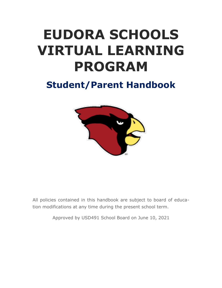# **EUDORA SCHOOLS VIRTUAL LEARNING PROGRAM**

# **Student/Parent Handbook**



All policies contained in this handbook are subject to board of education modifications at any time during the present school term.

Approved by USD491 School Board on June 10, 2021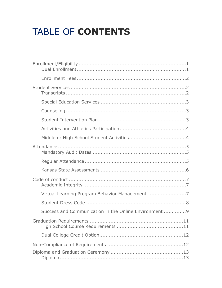# TABLE OF CONTENTS

| Virtual Learning Program Behavior Management 7        |  |  |  |
|-------------------------------------------------------|--|--|--|
|                                                       |  |  |  |
| Success and Communication in the Online Environment 9 |  |  |  |
|                                                       |  |  |  |
|                                                       |  |  |  |
|                                                       |  |  |  |
|                                                       |  |  |  |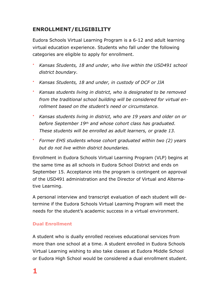# <span id="page-3-0"></span>**ENROLLMENT/ELIGIBILITY**

Eudora Schools Virtual Learning Program is a 6-12 and adult learning virtual education experience. Students who fall under the following categories are eligible to apply for enrollment.

- *Kansas Students, 18 and under, who live within the USD491 school district boundary.*
- *Kansas Students, 18 and under, in custody of DCF or JJA*
- *Kansas students living in district, who is designated to be removed from the traditional school building will be considered for virtual enrollment based on the student's need or circumstance.*
- *Kansas students living in district, who are 19 years and older on or before September 19th and whose cohort class has graduated. These students will be enrolled as adult learners, or grade 13.*
- *Former EHS students whose cohort graduated within two (2) years but do not live within district boundaries.*

Enrollment in Eudora Schools Virtual Learning Program (VLP) begins at the same time as all schools in Eudora School District and ends on September 15. Acceptance into the program is contingent on approval of the USD491 administration and the Director of Virtual and Alternative Learning.

A personal interview and transcript evaluation of each student will determine if the Eudora Schools Virtual Learning Program will meet the needs for the student's academic success in a virtual environment.

#### <span id="page-3-1"></span>**Dual Enrollment**

A student who is dually enrolled receives educational services from more than one school at a time. A student enrolled in Eudora Schools Virtual Learning wishing to also take classes at Eudora Middle School or Eudora High School would be considered a dual enrollment student.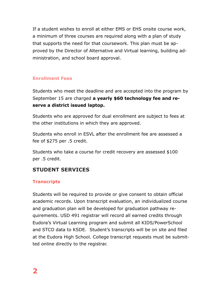If a student wishes to enroll at either EMS or EHS onsite course work, a minimum of three courses are required along with a plan of study that supports the need for that coursework. This plan must be approved by the Director of Alternative and Virtual learning, building administration, and school board approval.

#### <span id="page-4-0"></span>**Enrollment Fees**

Students who meet the deadline and are accepted into the program by September 15 are charged **a yearly \$60 technology fee and reserve a district issued laptop.** 

Students who are approved for dual enrollment are subject to fees at the other institutions in which they are approved.

Students who enroll in ESVL after the enrollment fee are assessed a fee of \$275 per .5 credit.

Students who take a course for credit recovery are assessed \$100 per .5 credit.

# <span id="page-4-1"></span>**STUDENT SERVICES**

#### <span id="page-4-2"></span>**Transcripts**

Students will be required to provide or give consent to obtain official academic records. Upon transcript evaluation, an individualized course and graduation plan will be developed for graduation pathway requirements. USD 491 registrar will record all earned credits through Eudora's Virtual Learning program and submit all KIDS/PowerSchool and STCO data to KSDE. Student's transcripts will be on site and filed at the Eudora High School. College transcript requests must be submitted online directly to the registrar.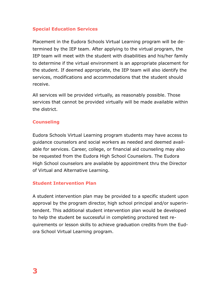#### <span id="page-5-0"></span>**Special Education Services**

Placement in the Eudora Schools Virtual Learning program will be determined by the IEP team. After applying to the virtual program, the IEP team will meet with the student with disabilities and his/her family to determine if the virtual environment is an appropriate placement for the student. If deemed appropriate, the IEP team will also identify the services, modifications and accommodations that the student should receive.

All services will be provided virtually, as reasonably possible. Those services that cannot be provided virtually will be made available within the district.

#### <span id="page-5-1"></span>**Counseling**

Eudora Schools Virtual Learning program students may have access to guidance counselors and social workers as needed and deemed available for services. Career, college, or financial aid counseling may also be requested from the Eudora High School Counselors. The Eudora High School counselors are available by appointment thru the Director of Virtual and Alternative Learning.

#### <span id="page-5-2"></span>**Student Intervention Plan**

A student intervention plan may be provided to a specific student upon approval by the program director, high school principal and/or superintendent. This additional student intervention plan would be developed to help the student be successful in completing proctored test requirements or lesson skills to achieve graduation credits from the Eudora School Virtual Learning program.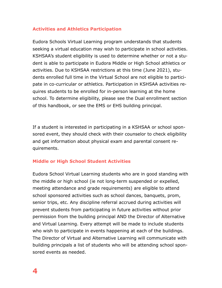#### <span id="page-6-0"></span>**Activities and Athletics Participation**

Eudora Schools Virtual Learning program understands that students seeking a virtual education may wish to participate in school activities. KSHSAA's student eligibility is used to determine whether or not a student is able to participate in Eudora Middle or High School athletics or activities. Due to KSHSAA restrictions at this time (June 2021), students enrolled full time in the Virtual School are not eligible to participate in co-curricular or athletics. Participation in KSHSAA activities requires students to be enrolled for in-person learning at the home school. To determine eligibility, please see the Dual enrollment section of this handbook, or see the EMS or EHS building principal.

If a student is interested in participating in a KSHSAA or school sponsored event, they should check with their counselor to check eligibility and get information about physical exam and parental consent requirements.

#### <span id="page-6-1"></span>**Middle or High School Student Activities**

Eudora School Virtual Learning students who are in good standing with the middle or high school (ie not long-term suspended or expelled, meeting attendance and grade requirements) are eligible to attend school sponsored activities such as school dances, banquets, prom, senior trips, etc. Any discipline referral accrued during activities will prevent students from participating in future activities without prior permission from the building principal AND the Director of Alternative and Virtual Learning. Every attempt will be made to include students who wish to participate in events happening at each of the buildings. The Director of Virtual and Alternative Learning will communicate with building principals a list of students who will be attending school sponsored events as needed.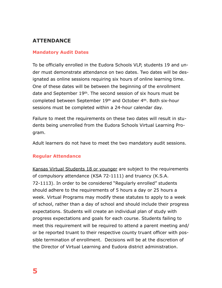# <span id="page-7-0"></span>**ATTENDANCE**

#### <span id="page-7-1"></span>**Mandatory Audit Dates**

To be officially enrolled in the Eudora Schools VLP, students 19 and under must demonstrate attendance on two dates. Two dates will be designated as online sessions requiring six hours of online learning time. One of these dates will be between the beginning of the enrollment date and September 19th. The second session of six hours must be completed between September 19th and October 4th. Both six-hour sessions must be completed within a 24-hour calendar day.

Failure to meet the requirements on these two dates will result in students being unenrolled from the Eudora Schools Virtual Learning Program.

Adult learners do not have to meet the two mandatory audit sessions.

#### <span id="page-7-2"></span>**Regular Attendance**

Kansas Virtual Students 18 or younger are subject to the requirements of compulsory attendance (KSA 72-1111) and truancy (K.S.A. 72-1113). In order to be considered "Regularly enrolled" students should adhere to the requirements of 5 hours a day or 25 hours a week. Virtual Programs may modify these statutes to apply to a week of school, rather than a day of school and should include their progress expectations. Students will create an individual plan of study with progress expectations and goals for each course. Students failing to meet this requirement will be required to attend a parent meeting and/ or be reported truant to their respective county truant officer with possible termination of enrollment. Decisions will be at the discretion of the Director of Virtual Learning and Eudora district administration.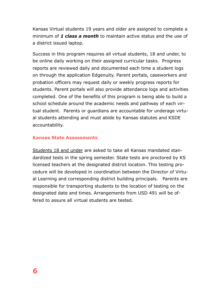Kansas Virtual students 19 years and older are assigned to complete a minimum of *1 class a month* to maintain active status and the use of a district issued laptop.

Success in this program requires all virtual students, 18 and under, to be online daily working on their assigned curricular tasks. Progress reports are reviewed daily and documented each time a student logs on through the application Edgenuity. Parent portals, caseworkers and probation officers may request daily or weekly progress reports for students. Parent portals will also provide attendance logs and activities completed. One of the benefits of this program is being able to build a school schedule around the academic needs and pathway of each virtual student. Parents or guardians are accountable for underage virtual students attending and must abide by Kansas statutes and KSDE accountability.

#### <span id="page-8-0"></span>**Kansas State Assessments**

Students 18 and under are asked to take all Kansas mandated standardized tests in the spring semester. State tests are proctored by KS licensed teachers at the designated district location. This testing procedure will be developed in coordination between the Director of Virtual Learning and corresponding district building principals. Parents are responsible for transporting students to the location of testing on the designated date and times. Arrangements from USD 491 will be offered to assure all virtual students are tested.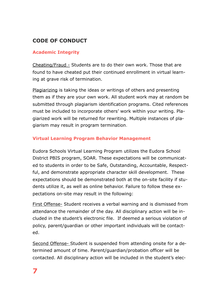# <span id="page-9-0"></span>**CODE OF CONDUCT**

#### <span id="page-9-1"></span>**Academic Integrity**

Cheating/Fraud - Students are to do their own work. Those that are found to have cheated put their continued enrollment in virtual learning at grave risk of termination.

Plagiarizing is taking the ideas or writings of others and presenting them as if they are your own work. All student work may at random be submitted through plagiarism identification programs. Cited references must be included to incorporate others' work within your writing. Plagiarized work will be returned for rewriting. Multiple instances of plagiarism may result in program termination.

#### <span id="page-9-2"></span>**Virtual Learning Program Behavior Management**

Eudora Schools Virtual Learning Program utilizes the Eudora School District PBIS program, SOAR. These expectations will be communicated to students in order to be Safe, Outstanding, Accountable, Respectful, and demonstrate appropriate character skill development. These expectations should be demonstrated both at the on-site facility if students utilize it, as well as online behavior. Failure to follow these expectations on-site may result in the following:

First Offense- Student receives a verbal warning and is dismissed from attendance the remainder of the day. All disciplinary action will be included in the student's electronic file. If deemed a serious violation of policy, parent/guardian or other important individuals will be contacted.

Second Offense- Student is suspended from attending onsite for a determined amount of time. Parent/guardian/probation officer will be contacted. All disciplinary action will be included in the student's elec-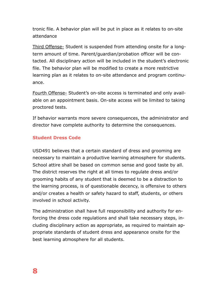tronic file. A behavior plan will be put in place as it relates to on-site attendance

Third Offense- Student is suspended from attending onsite for a longterm amount of time. Parent/guardian/probation officer will be contacted. All disciplinary action will be included in the student's electronic file. The behavior plan will be modified to create a more restrictive learning plan as it relates to on-site attendance and program continuance.

Fourth Offense- Student's on-site access is terminated and only available on an appointment basis. On-site access will be limited to taking proctored tests.

If behavior warrants more severe consequences, the administrator and director have complete authority to determine the consequences.

#### <span id="page-10-0"></span>**Student Dress Code**

USD491 believes that a certain standard of dress and grooming are necessary to maintain a productive learning atmosphere for students. School attire shall be based on common sense and good taste by all. The district reserves the right at all times to regulate dress and/or grooming habits of any student that is deemed to be a distraction to the learning process, is of questionable decency, is offensive to others and/or creates a health or safety hazard to staff, students, or others involved in school activity.

The administration shall have full responsibility and authority for enforcing the dress code regulations and shall take necessary steps, including disciplinary action as appropriate, as required to maintain appropriate standards of student dress and appearance onsite for the best learning atmosphere for all students.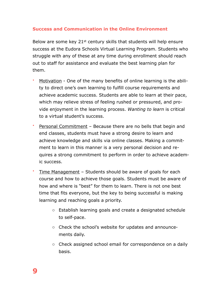#### <span id="page-11-0"></span>**Success and Communication in the Online Environment**

Below are some key 21st century skills that students will help ensure success at the Eudora Schools Virtual Learning Program. Students who struggle with any of these at any time during enrollment should reach out to staff for assistance and evaluate the best learning plan for them.

- Motivation One of the many benefits of online learning is the ability to direct one's own learning to fulfill course requirements and achieve academic success. Students are able to learn at their pace, which may relieve stress of feeling rushed or pressured, and provide enjoyment in the learning process. *Wanting to learn* is critical to a virtual student's success.
- Personal Commitment Because there are no bells that begin and end classes, students must have a strong desire to learn and achieve knowledge and skills via online classes. Making a commitment to learn in this manner is a very personal decision and requires a strong commitment to perform in order to achieve academic success.
- Time Management Students should be aware of goals for each course and how to achieve those goals. Students must be aware of how and where is "best" for them to learn. There is not one best time that fits everyone, but the key to being successful is making learning and reaching goals a priority.
	- o Establish learning goals and create a designated schedule to self-pace.
	- o Check the school's website for updates and announcements daily.
	- o Check assigned school email for correspondence on a daily basis.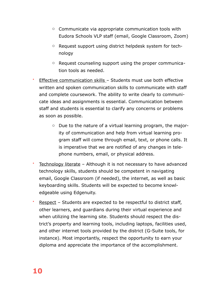- o Communicate via appropriate communication tools with Eudora Schools VLP staff (email, Google Classroom, Zoom)
- o Request support using district helpdesk system for technology
- o Request counseling support using the proper communication tools as needed.
- Effective communication skills Students must use both effective written and spoken communication skills to communicate with staff and complete coursework. The ability to write clearly to communicate ideas and assignments is essential. Communication between staff and students is essential to clarify any concerns or problems as soon as possible.
	- o Due to the nature of a virtual learning program, the majority of communication and help from virtual learning program staff will come through email, text, or phone calls. It is imperative that we are notified of any changes in telephone numbers, email, or physical address.
- Technology literate Although it is not necessary to have advanced technology skills, students should be competent in navigating email, Google Classroom (if needed), the internet, as well as basic keyboarding skills. Students will be expected to become knowledgeable using Edgenuity.
- Respect Students are expected to be respectful to district staff, other learners, and guardians during their virtual experience and when utilizing the learning site. Students should respect the district's property and learning tools, including laptops, facilities used, and other internet tools provided by the district (G-Suite tools, for instance). Most importantly, respect the opportunity to earn your diploma and appreciate the importance of the accomplishment.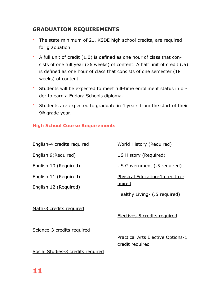# <span id="page-13-0"></span>**GRADUATION REQUIREMENTS**

- The state minimum of 21, KSDE high school credits, are required for graduation.
- A full unit of credit (1.0) is defined as one hour of class that consists of one full year (36 weeks) of content. A half unit of credit (.5) is defined as one hour of class that consists of one semester (18 weeks) of content.
- Students will be expected to meet full-time enrollment status in order to earn a Eudora Schools diploma.
- Students are expected to graduate in 4 years from the start of their 9th grade year.

#### <span id="page-13-1"></span>**High School Course Requirements**

| English-4 credits required                     | World History (Required)                  |  |
|------------------------------------------------|-------------------------------------------|--|
| English 9(Required)                            | US History (Required)                     |  |
| English 10 (Required)                          | US Government (.5 required)               |  |
| English 11 (Required)<br>English 12 (Required) | Physical Education-1 credit re-<br>quired |  |
|                                                | Healthy Living- (.5 required)             |  |
| Math-3 credits required                        | Electives-5 credits required              |  |
| Science-3 credits required                     | Dractical Arte Floctive Ontione-1         |  |

Social Studies-3 credits required

<u>ractical Arts Elective Options-1</u> credit required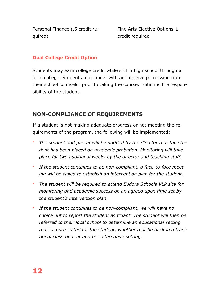Personal Finance (.5 credit required)

Fine Arts Elective Options-1 credit required

#### <span id="page-14-0"></span>**Dual College Credit Option**

Students may earn college credit while still in high school through a local college. Students must meet with and receive permission from their school counselor prior to taking the course. Tuition is the responsibility of the student.

## <span id="page-14-1"></span>**NON-COMPLIANCE OF REQUIREMENTS**

If a student is not making adequate progress or not meeting the requirements of the program, the following will be implemented:

- *The student and parent will be notified by the director that the student has been placed on academic probation. Monitoring will take place for two additional weeks by the director and teaching staff.*
- *If the student continues to be non-compliant, a face-to-face meeting will be called to establish an intervention plan for the student.*
- *The student will be required to attend Eudora Schools VLP site for monitoring and academic success on an agreed upon time set by the student's intervention plan.*
- *If the student continues to be non-compliant, we will have no choice but to report the student as truant. The student will then be referred to their local school to determine an educational setting that is more suited for the student, whether that be back in a traditional classroom or another alternative setting.*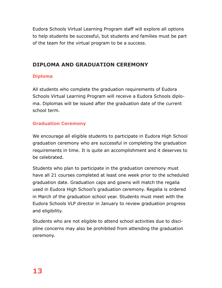Eudora Schools Virtual Learning Program staff will explore all options to help students be successful, but students and families must be part of the team for the virtual program to be a success.

# <span id="page-15-0"></span>**DIPLOMA AND GRADUATION CEREMONY**

#### <span id="page-15-1"></span>**Diploma**

All students who complete the graduation requirements of Eudora Schools Virtual Learning Program will receive a Eudora Schools diploma. Diplomas will be issued after the graduation date of the current school term.

### <span id="page-15-2"></span>**Graduation Ceremony**

We encourage all eligible students to participate in Eudora High School graduation ceremony who are successful in completing the graduation requirements in time. It is quite an accomplishment and it deserves to be celebrated.

Students who plan to participate in the graduation ceremony must have all 21 courses completed at least one week prior to the scheduled graduation date. Graduation caps and gowns will match the regalia used in Eudora High School's graduation ceremony. Regalia is ordered in March of the graduation school year. Students must meet with the Eudora Schools VLP director in January to review graduation progress and eligibility.

Students who are not eligible to attend school activities due to discipline concerns may also be prohibited from attending the graduation ceremony.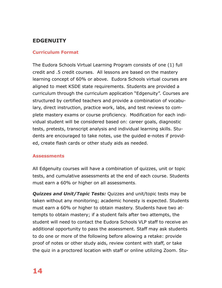# <span id="page-16-0"></span>**EDGENUITY**

#### <span id="page-16-1"></span>**Curriculum Format**

The Eudora Schools Virtual Learning Program consists of one (1) full credit and .5 credit courses. All lessons are based on the mastery learning concept of 60% or above. Eudora Schools virtual courses are aligned to meet KSDE state requirements. Students are provided a curriculum through the curriculum application "Edgenuity". Courses are structured by certified teachers and provide a combination of vocabulary, direct instruction, practice work, labs, and test reviews to complete mastery exams or course proficiency. Modification for each individual student will be considered based on: career goals, diagnostic tests, pretests, transcript analysis and individual learning skills. Students are encouraged to take notes, use the guided e-notes if provided, create flash cards or other study aids as needed.

#### <span id="page-16-2"></span>**Assessments**

All Edgenuity courses will have a combination of quizzes, unit or topic tests, and cumulative assessments at the end of each course. Students must earn a 60% or higher on all assessments.

*Quizzes and Unit/Topic Tests:* Quizzes and unit/topic tests may be taken without any monitoring; academic honesty is expected. Students must earn a 60% or higher to obtain mastery. Students have two attempts to obtain mastery; if a student fails after two attempts, the student will need to contact the Eudora Schools VLP staff to receive an additional opportunity to pass the assessment. Staff may ask students to do one or more of the following before allowing a retake: provide proof of notes or other study aids, review content with staff, or take the quiz in a proctored location with staff or online utilizing Zoom. Stu-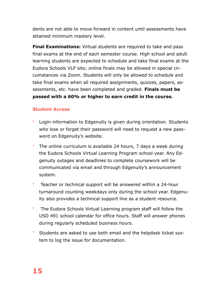dents are not able to move forward in content until assessments have attained minimum mastery level.

**Final Examinations:** Virtual students are required to take and pass final exams at the end of each semester course. High school and adult learning students are expected to schedule and take final exams at the Eudora Schools VLP site; online finals may be allowed in special circumstances via Zoom. Students will only be allowed to schedule and take final exams when all required assignments, quizzes, papers, assessments, etc. have been completed and graded. **Finals must be passed with a 60% or higher to earn credit in the course***.* 

#### <span id="page-17-0"></span>**Student Access**

- Login information to Edgenuity is given during orientation. Students who lose or forget their password will need to request a new password on Edgenuity's website.
- The online curriculum is available 24 hours, 7 days a week during the Eudora Schools Virtual Learning Program school year. Any Edgenuity outages and deadlines to complete coursework will be communicated via email and through Edgenuity's announcement system.
- Teacher or technical support will be answered within a 24-hour turnaround counting weekdays only during the school year. Edgenuity also provides a technical support line as a student resource.
- The Eudora Schools Virtual Learning program staff will follow the USD 491 school calendar for office hours. Staff will answer phones during regularly scheduled business hours.
- Students are asked to use both email and the helpdesk ticket system to log the issue for documentation.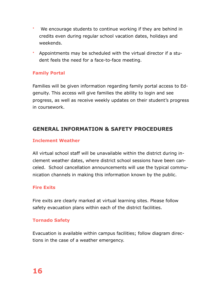- We encourage students to continue working if they are behind in credits even during regular school vacation dates, holidays and weekends.
- Appointments may be scheduled with the virtual director if a student feels the need for a face-to-face meeting.

#### <span id="page-18-0"></span>**Family Portal**

Families will be given information regarding family portal access to Edgenuity. This access will give families the ability to login and see progress, as well as receive weekly updates on their student's progress in coursework.

## <span id="page-18-1"></span>**GENERAL INFORMATION & SAFETY PROCEDURES**

#### <span id="page-18-2"></span>**Inclement Weather**

All virtual school staff will be unavailable within the district during inclement weather dates, where district school sessions have been canceled. School cancellation announcements will use the typical communication channels in making this information known by the public.

#### <span id="page-18-3"></span>**Fire Exits**

Fire exits are clearly marked at virtual learning sites. Please follow safety evacuation plans within each of the district facilities.

#### <span id="page-18-4"></span>**Tornado Safety**

Evacuation is available within campus facilities; follow diagram directions in the case of a weather emergency.